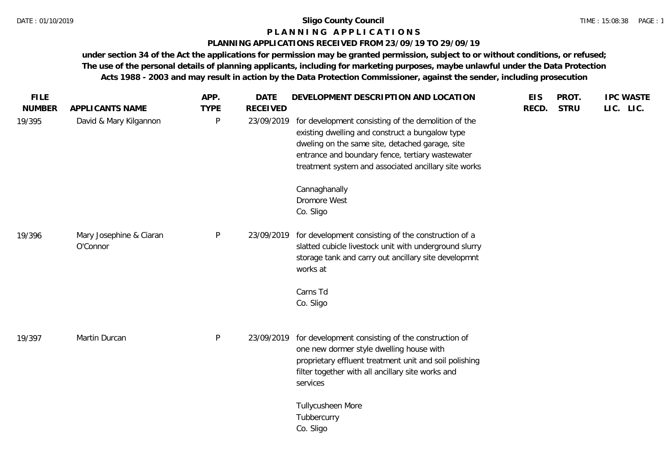### **P L A N N I N G A P P L I C A T I O N S**

### **PLANNING APPLICATIONS RECEIVED FROM 23/09/19 TO 29/09/19**

| <b>FILE</b><br><b>NUMBER</b> | APPLICANTS NAME                     | APP.<br><b>TYPE</b> | <b>DATE</b><br><b>RECEIVED</b> | DEVELOPMENT DESCRIPTION AND LOCATION                                                                                                                                                                                                                                  | <b>EIS</b><br>RECD. | PROT.<br><b>STRU</b> | <b>IPC WASTE</b><br>LIC. LIC. |
|------------------------------|-------------------------------------|---------------------|--------------------------------|-----------------------------------------------------------------------------------------------------------------------------------------------------------------------------------------------------------------------------------------------------------------------|---------------------|----------------------|-------------------------------|
| 19/395                       | David & Mary Kilgannon              | P                   | 23/09/2019                     | for development consisting of the demolition of the<br>existing dwelling and construct a bungalow type<br>dweling on the same site, detached garage, site<br>entrance and boundary fence, tertiary wastewater<br>treatment system and associated ancillary site works |                     |                      |                               |
|                              |                                     |                     |                                | Cannaghanally<br>Dromore West<br>Co. Sligo                                                                                                                                                                                                                            |                     |                      |                               |
| 19/396                       | Mary Josephine & Ciaran<br>O'Connor | $\mathsf{P}$        | 23/09/2019                     | for development consisting of the construction of a<br>slatted cubicle livestock unit with underground slurry<br>storage tank and carry out ancillary site developmnt<br>works at                                                                                     |                     |                      |                               |
|                              |                                     |                     |                                | Carns Td<br>Co. Sligo                                                                                                                                                                                                                                                 |                     |                      |                               |
| 19/397                       | Martin Durcan                       | P                   | 23/09/2019                     | for development consisting of the construction of<br>one new dormer style dwelling house with<br>proprietary effluent treatment unit and soil polishing<br>filter together with all ancillary site works and<br>services                                              |                     |                      |                               |
|                              |                                     |                     |                                | Tullycusheen More<br>Tubbercurry<br>Co. Sligo                                                                                                                                                                                                                         |                     |                      |                               |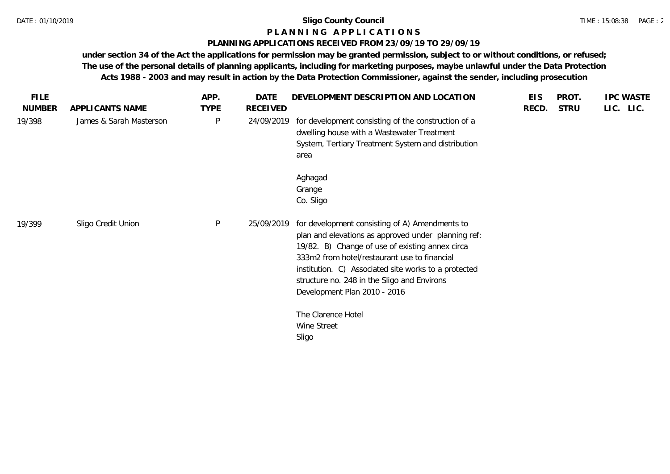### **P L A N N I N G A P P L I C A T I O N S**

### **PLANNING APPLICATIONS RECEIVED FROM 23/09/19 TO 29/09/19**

| <b>FILE</b>   |                         | APP.        | <b>DATE</b>     | DEVELOPMENT DESCRIPTION AND LOCATION                                                                                                                                                                                                                                                                                                            | <b>EIS</b> | PROT.       | <b>IPC WASTE</b> |
|---------------|-------------------------|-------------|-----------------|-------------------------------------------------------------------------------------------------------------------------------------------------------------------------------------------------------------------------------------------------------------------------------------------------------------------------------------------------|------------|-------------|------------------|
| <b>NUMBER</b> | APPLICANTS NAME         | <b>TYPE</b> | <b>RECEIVED</b> |                                                                                                                                                                                                                                                                                                                                                 | RECD.      | <b>STRU</b> | LIC. LIC.        |
| 19/398        | James & Sarah Masterson | P           | 24/09/2019      | for development consisting of the construction of a<br>dwelling house with a Wastewater Treatment<br>System, Tertiary Treatment System and distribution<br>area                                                                                                                                                                                 |            |             |                  |
|               |                         |             |                 | Aghagad<br>Grange<br>Co. Sligo                                                                                                                                                                                                                                                                                                                  |            |             |                  |
| 19/399        | Sligo Credit Union      | P           | 25/09/2019      | for development consisting of A) Amendments to<br>plan and elevations as approved under planning ref:<br>19/82. B) Change of use of existing annex circa<br>333m2 from hotel/restaurant use to financial<br>institution. C) Associated site works to a protected<br>structure no. 248 in the Sligo and Environs<br>Development Plan 2010 - 2016 |            |             |                  |
|               |                         |             |                 | The Clarence Hotel<br>Wine Street<br>Sligo                                                                                                                                                                                                                                                                                                      |            |             |                  |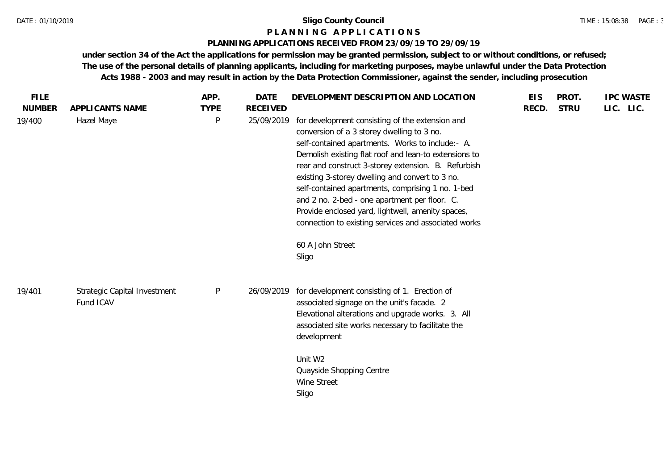### **P L A N N I N G A P P L I C A T I O N S**

### **PLANNING APPLICATIONS RECEIVED FROM 23/09/19 TO 29/09/19**

| <b>FILE</b><br><b>NUMBER</b> | APPLICANTS NAME                           | APP.<br><b>TYPE</b> | <b>DATE</b><br><b>RECEIVED</b> | DEVELOPMENT DESCRIPTION AND LOCATION                                                                                                                                                                                                                                                                                                                                                                                                                                                                                                                                 | <b>EIS</b><br>RECD. | PROT.<br><b>STRU</b> | <b>IPC WASTE</b><br>LIC. LIC. |
|------------------------------|-------------------------------------------|---------------------|--------------------------------|----------------------------------------------------------------------------------------------------------------------------------------------------------------------------------------------------------------------------------------------------------------------------------------------------------------------------------------------------------------------------------------------------------------------------------------------------------------------------------------------------------------------------------------------------------------------|---------------------|----------------------|-------------------------------|
| 19/400                       | Hazel Maye                                | $\sf P$             | 25/09/2019                     | for development consisting of the extension and<br>conversion of a 3 storey dwelling to 3 no.<br>self-contained apartments. Works to include:- A.<br>Demolish existing flat roof and lean-to extensions to<br>rear and construct 3-storey extension. B. Refurbish<br>existing 3-storey dwelling and convert to 3 no.<br>self-contained apartments, comprising 1 no. 1-bed<br>and 2 no. 2-bed - one apartment per floor. C.<br>Provide enclosed yard, lightwell, amenity spaces,<br>connection to existing services and associated works<br>60 A John Street<br>Sligo |                     |                      |                               |
| 19/401                       | Strategic Capital Investment<br>Fund ICAV | $\mathsf{P}$        | 26/09/2019                     | for development consisting of 1. Erection of<br>associated signage on the unit's facade. 2<br>Elevational alterations and upgrade works. 3. All<br>associated site works necessary to facilitate the<br>development<br>Unit W2<br>Quayside Shopping Centre<br>Wine Street<br>Sligo                                                                                                                                                                                                                                                                                   |                     |                      |                               |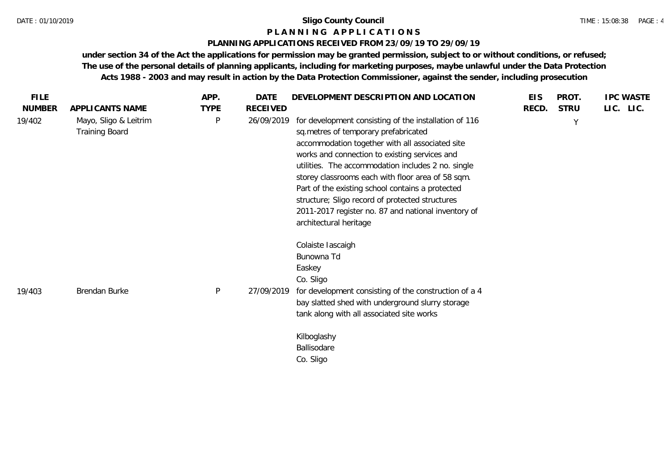#### TIME : 15:08:38 PAGE : 4

### **P L A N N I N G A P P L I C A T I O N S**

### **PLANNING APPLICATIONS RECEIVED FROM 23/09/19 TO 29/09/19**

| <b>FILE</b>   |                                                | APP.         | DATE            | DEVELOPMENT DESCRIPTION AND LOCATION                                                                                                                                                                                                                                                                                                                                                                                                                                                                 | <b>EIS</b> | PROT.       | <b>IPC WASTE</b> |
|---------------|------------------------------------------------|--------------|-----------------|------------------------------------------------------------------------------------------------------------------------------------------------------------------------------------------------------------------------------------------------------------------------------------------------------------------------------------------------------------------------------------------------------------------------------------------------------------------------------------------------------|------------|-------------|------------------|
| <b>NUMBER</b> | APPLICANTS NAME                                | <b>TYPE</b>  | <b>RECEIVED</b> |                                                                                                                                                                                                                                                                                                                                                                                                                                                                                                      | RECD.      | <b>STRU</b> | LIC. LIC.        |
| 19/402        | Mayo, Sligo & Leitrim<br><b>Training Board</b> | $\mathsf{P}$ | 26/09/2019      | for development consisting of the installation of 116<br>sq.metres of temporary prefabricated<br>accommodation together with all associated site<br>works and connection to existing services and<br>utilities. The accommodation includes 2 no. single<br>storey classrooms each with floor area of 58 sqm.<br>Part of the existing school contains a protected<br>structure; Sligo record of protected structures<br>2011-2017 register no. 87 and national inventory of<br>architectural heritage |            | Y           |                  |
| 19/403        | Brendan Burke                                  | $\mathsf{P}$ | 27/09/2019      | Colaiste Iascaigh<br>Bunowna Td<br>Easkey<br>Co. Sligo<br>for development consisting of the construction of a 4<br>bay slatted shed with underground slurry storage<br>tank along with all associated site works                                                                                                                                                                                                                                                                                     |            |             |                  |
|               |                                                |              |                 | Kilboglashy<br>Ballisodare<br>Co. Sligo                                                                                                                                                                                                                                                                                                                                                                                                                                                              |            |             |                  |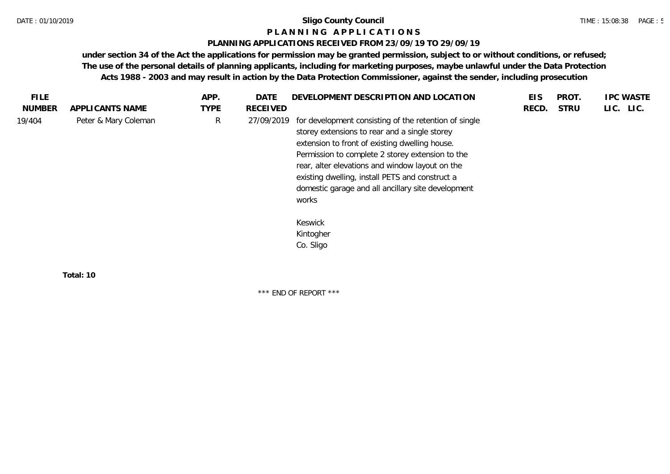### **P L A N N I N G A P P L I C A T I O N S**

### **PLANNING APPLICATIONS RECEIVED FROM 23/09/19 TO 29/09/19**

**under section 34 of the Act the applications for permission may be granted permission, subject to or without conditions, or refused; The use of the personal details of planning applicants, including for marketing purposes, maybe unlawful under the Data Protection Acts 1988 - 2003 and may result in action by the Data Protection Commissioner, against the sender, including prosecution**

| FILE.         |                      | APP.        | <b>DATE</b>     | DEVELOPMENT DESCRIPTION AND LOCATION                                                                                                                                                                                                                                                                                                                                              | <b>EIS</b> | PROT.       | <b>IPC WASTE</b> |
|---------------|----------------------|-------------|-----------------|-----------------------------------------------------------------------------------------------------------------------------------------------------------------------------------------------------------------------------------------------------------------------------------------------------------------------------------------------------------------------------------|------------|-------------|------------------|
| <b>NUMBER</b> | APPLICANTS NAME      | <b>TYPE</b> | <b>RECEIVED</b> |                                                                                                                                                                                                                                                                                                                                                                                   | RECD.      | <b>STRU</b> | LIC. LIC.        |
| 19/404        | Peter & Mary Coleman | R           | 27/09/2019      | for development consisting of the retention of single<br>storey extensions to rear and a single storey<br>extension to front of existing dwelling house.<br>Permission to complete 2 storey extension to the<br>rear, alter elevations and window layout on the<br>existing dwelling, install PETS and construct a<br>domestic garage and all ancillary site development<br>works |            |             |                  |
|               |                      |             |                 | Keswick<br>Kintogher<br>Co. Sligo                                                                                                                                                                                                                                                                                                                                                 |            |             |                  |
|               | Total: 10            |             |                 |                                                                                                                                                                                                                                                                                                                                                                                   |            |             |                  |

\*\*\* END OF REPORT \*\*\*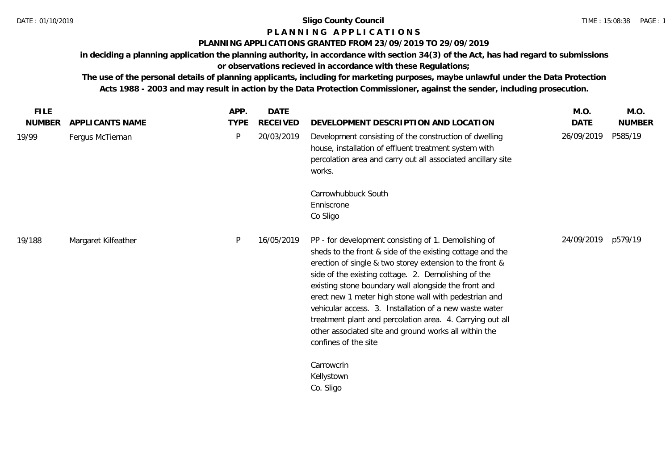# **P L A N N I N G A P P L I C A T I O N S**

## **PLANNING APPLICATIONS GRANTED FROM 23/09/2019 TO 29/09/2019**

**in deciding a planning application the planning authority, in accordance with section 34(3) of the Act, has had regard to submissions or observations recieved in accordance with these Regulations;**

**The use of the personal details of planning applicants, including for marketing purposes, maybe unlawful under the Data Protection Acts 1988 - 2003 and may result in action by the Data Protection Commissioner, against the sender, including prosecution.**

| <b>FILE</b> |                     | APP.        | DATE            |                                                                                                                                                                                                                                                                                                                                                                                                                                                                                                                                                               | M.O.        | M.O.          |
|-------------|---------------------|-------------|-----------------|---------------------------------------------------------------------------------------------------------------------------------------------------------------------------------------------------------------------------------------------------------------------------------------------------------------------------------------------------------------------------------------------------------------------------------------------------------------------------------------------------------------------------------------------------------------|-------------|---------------|
| NUMBER      | APPLICANTS NAME     | <b>TYPE</b> | <b>RECEIVED</b> | DEVELOPMENT DESCRIPTION AND LOCATION                                                                                                                                                                                                                                                                                                                                                                                                                                                                                                                          | <b>DATE</b> | <b>NUMBER</b> |
| 19/99       | Fergus McTiernan    | P           | 20/03/2019      | Development consisting of the construction of dwelling<br>house, installation of effluent treatment system with<br>percolation area and carry out all associated ancillary site<br>works.                                                                                                                                                                                                                                                                                                                                                                     | 26/09/2019  | P585/19       |
|             |                     |             |                 | Carrowhubbuck South<br>Enniscrone<br>Co Sligo                                                                                                                                                                                                                                                                                                                                                                                                                                                                                                                 |             |               |
| 19/188      | Margaret Kilfeather | P           | 16/05/2019      | PP - for development consisting of 1. Demolishing of<br>sheds to the front & side of the existing cottage and the<br>erection of single & two storey extension to the front &<br>side of the existing cottage. 2. Demolishing of the<br>existing stone boundary wall alongside the front and<br>erect new 1 meter high stone wall with pedestrian and<br>vehicular access. 3. Installation of a new waste water<br>treatment plant and percolation area. 4. Carrying out all<br>other associated site and ground works all within the<br>confines of the site | 24/09/2019  | p579/19       |
|             |                     |             |                 | Carrowcrin<br>Kellystown<br>Co. Sligo                                                                                                                                                                                                                                                                                                                                                                                                                                                                                                                         |             |               |
|             |                     |             |                 |                                                                                                                                                                                                                                                                                                                                                                                                                                                                                                                                                               |             |               |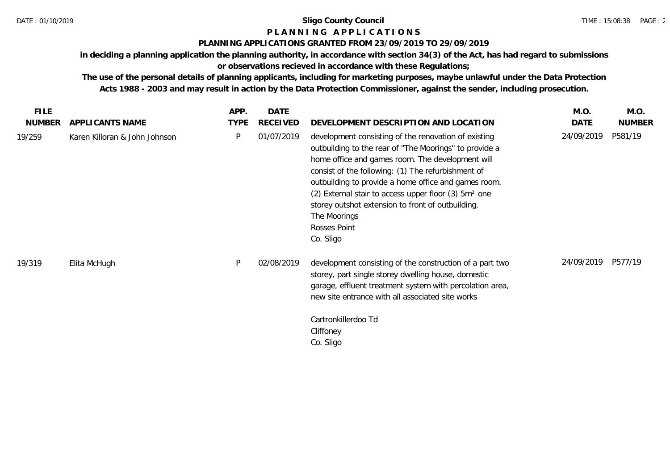## **P L A N N I N G A P P L I C A T I O N S**

## **PLANNING APPLICATIONS GRANTED FROM 23/09/2019 TO 29/09/2019**

**in deciding a planning application the planning authority, in accordance with section 34(3) of the Act, has had regard to submissions** 

## **or observations recieved in accordance with these Regulations;**

**The use of the personal details of planning applicants, including for marketing purposes, maybe unlawful under the Data Protection Acts 1988 - 2003 and may result in action by the Data Protection Commissioner, against the sender, including prosecution.**

| <b>FILE</b>   |                               | APP.        | <b>DATE</b>     |                                                                                                                                                                                                                                                                                                                                                                                                                                                        | M.O.       | M.O.          |
|---------------|-------------------------------|-------------|-----------------|--------------------------------------------------------------------------------------------------------------------------------------------------------------------------------------------------------------------------------------------------------------------------------------------------------------------------------------------------------------------------------------------------------------------------------------------------------|------------|---------------|
| <b>NUMBER</b> | APPLICANTS NAME               | <b>TYPE</b> | <b>RECEIVED</b> | DEVELOPMENT DESCRIPTION AND LOCATION                                                                                                                                                                                                                                                                                                                                                                                                                   | DATE       | <b>NUMBER</b> |
| 19/259        | Karen Killoran & John Johnson | P           | 01/07/2019      | development consisting of the renovation of existing<br>outbuilding to the rear of "The Moorings" to provide a<br>home office and games room. The development will<br>consist of the following: (1) The refurbishment of<br>outbuilding to provide a home office and games room.<br>(2) External stair to access upper floor (3) 5m <sup>2</sup> one<br>storey outshot extension to front of outbuilding.<br>The Moorings<br>Rosses Point<br>Co. Sligo | 24/09/2019 | P581/19       |
| 19/319        | Elita McHugh                  | P           | 02/08/2019      | development consisting of the construction of a part two<br>storey, part single storey dwelling house, domestic<br>garage, effluent treatment system with percolation area,<br>new site entrance with all associated site works<br>Cartronkillerdoo Td<br>Cliffoney<br>Co. Sligo                                                                                                                                                                       | 24/09/2019 | P577/19       |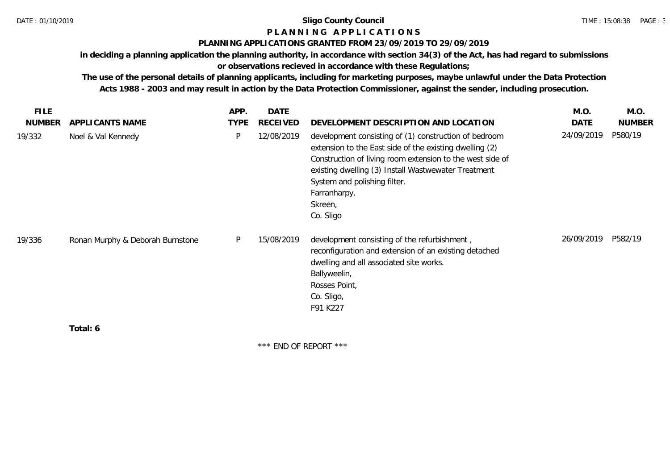## **P L A N N I N G A P P L I C A T I O N S**

### **PLANNING APPLICATIONS GRANTED FROM 23/09/2019 TO 29/09/2019**

**in deciding a planning application the planning authority, in accordance with section 34(3) of the Act, has had regard to submissions** 

## **or observations recieved in accordance with these Regulations;**

**The use of the personal details of planning applicants, including for marketing purposes, maybe unlawful under the Data Protection Acts 1988 - 2003 and may result in action by the Data Protection Commissioner, against the sender, including prosecution.**

| <b>FILE</b>   |                                  | APP.        | DATE       |                                                                                                                                                                                                                                                                                                              | M.O.       | M.O.          |
|---------------|----------------------------------|-------------|------------|--------------------------------------------------------------------------------------------------------------------------------------------------------------------------------------------------------------------------------------------------------------------------------------------------------------|------------|---------------|
| <b>NUMBER</b> | APPLICANTS NAME                  | <b>TYPE</b> | RECEIVED   | DEVELOPMENT DESCRIPTION AND LOCATION                                                                                                                                                                                                                                                                         | DATE       | <b>NUMBER</b> |
| 19/332        | Noel & Val Kennedy               | P           | 12/08/2019 | development consisting of (1) construction of bedroom<br>extension to the East side of the existing dwelling (2)<br>Construction of living room extension to the west side of<br>existing dwelling (3) Install Wastwewater Treatment<br>System and polishing filter.<br>Farranharpy,<br>Skreen,<br>Co. Sligo | 24/09/2019 | P580/19       |
| 19/336        | Ronan Murphy & Deborah Burnstone | P           | 15/08/2019 | development consisting of the refurbishment,<br>reconfiguration and extension of an existing detached<br>dwelling and all associated site works.<br>Ballyweelin,<br>Rosses Point,<br>Co. Sligo,<br>F91 K227                                                                                                  | 26/09/2019 | P582/19       |
|               | Total: 6                         |             |            |                                                                                                                                                                                                                                                                                                              |            |               |

\*\*\* END OF REPORT \*\*\*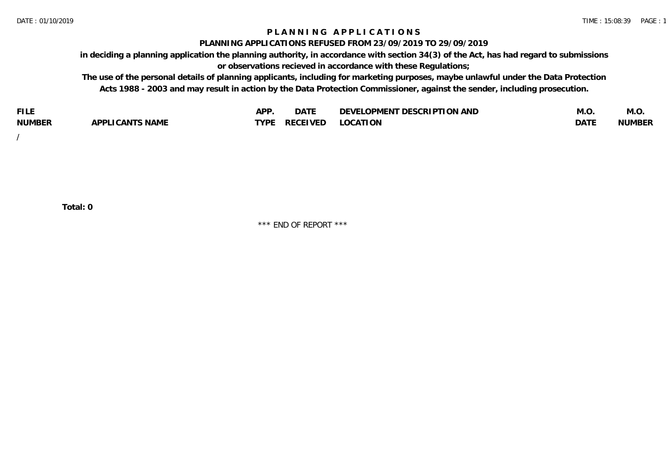### **P L A N N I N G A P P L I C A T I O N S**

#### **PLANNING APPLICATIONS REFUSED FROM 23/09/2019 TO 29/09/2019**

**in deciding a planning application the planning authority, in accordance with section 34(3) of the Act, has had regard to submissions or observations recieved in accordance with these Regulations;**

**The use of the personal details of planning applicants, including for marketing purposes, maybe unlawful under the Data Protection Acts 1988 - 2003 and may result in action by the Data Protection Commissioner, against the sender, including prosecution.**

| <b>FILE</b>   |                                                     | A DE | $\sim$ $\sim$ $\sim$<br>DA I | <b>ENT DESCRIPTION AND</b><br>$\cap$ nn.<br>)E\/F<br>. JIEN L<br>பட | IVI.U       | IVI.U         |
|---------------|-----------------------------------------------------|------|------------------------------|---------------------------------------------------------------------|-------------|---------------|
| <b>NUMBER</b> | <b>ANTS NAME</b><br>A DDI<br>$\sqrt{2}$<br>CAN<br>u | TVDL | ◡⊢                           | <b>OCATION</b>                                                      | <b>DATF</b> | <b>NUMBER</b> |

/

**Total: 0**

\*\*\* END OF REPORT \*\*\*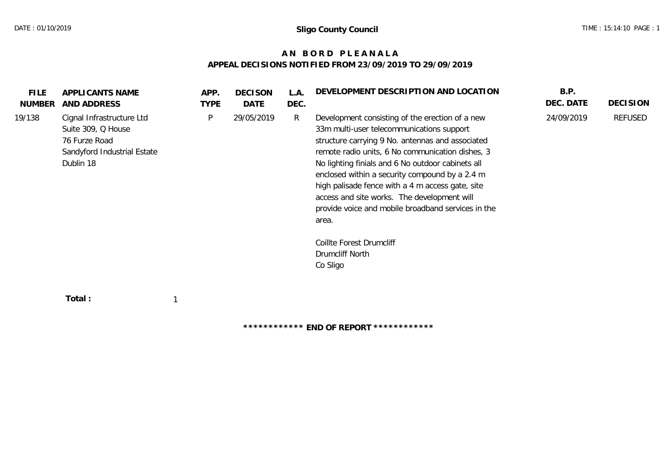## **A N B O R D P L E A N A L A APPEAL DECISIONS NOTIFIED FROM 23/09/2019 TO 29/09/2019**

| <b>FILE</b><br><b>NUMBER</b> | APPLICANTS NAME<br>AND ADDRESS                                                                               | APP.<br><b>TYPE</b> | <b>DECISON</b><br>DATE | L.A.<br>DEC. | DEVELOPMENT DESCRIPTION AND LOCATION                                                                                                                                                                                                                                                                                                                                                                                                                                                                      | B.P.<br>DEC. DATE | <b>DECISION</b> |
|------------------------------|--------------------------------------------------------------------------------------------------------------|---------------------|------------------------|--------------|-----------------------------------------------------------------------------------------------------------------------------------------------------------------------------------------------------------------------------------------------------------------------------------------------------------------------------------------------------------------------------------------------------------------------------------------------------------------------------------------------------------|-------------------|-----------------|
| 19/138                       | Cignal Infrastructure Ltd<br>Suite 309, Q House<br>76 Furze Road<br>Sandyford Industrial Estate<br>Dublin 18 | P                   | 29/05/2019             | R            | Development consisting of the erection of a new<br>33m multi-user telecommunications support<br>structure carrying 9 No. antennas and associated<br>remote radio units, 6 No communication dishes, 3<br>No lighting finials and 6 No outdoor cabinets all<br>enclosed within a security compound by a 2.4 m<br>high palisade fence with a 4 m access gate, site<br>access and site works. The development will<br>provide voice and mobile broadband services in the<br>area.<br>Coillte Forest Drumcliff | 24/09/2019        | REFUSED         |
|                              |                                                                                                              |                     |                        |              | Drumcliff North<br>Co Sligo                                                                                                                                                                                                                                                                                                                                                                                                                                                                               |                   |                 |
|                              | Total:                                                                                                       |                     |                        |              |                                                                                                                                                                                                                                                                                                                                                                                                                                                                                                           |                   |                 |

**\*\*\*\*\*\*\*\*\*\*\*\* END OF REPORT \*\*\*\*\*\*\*\*\*\*\*\***